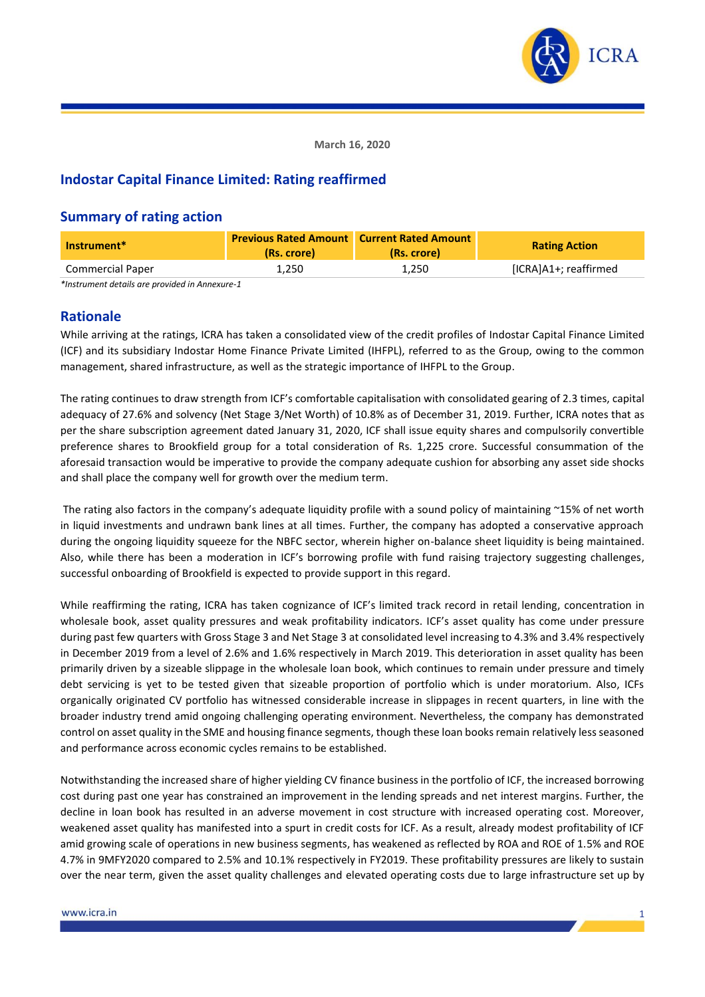

**March 16, 2020**

# **Indostar Capital Finance Limited: Rating reaffirmed**

### **Summary of rating action**

| Instrument*             | <b>Previous Rated Amount Current Rated Amount</b><br>(Rs. crore) | (Rs. crore) | <b>Rating Action</b>  |
|-------------------------|------------------------------------------------------------------|-------------|-----------------------|
| <b>Commercial Paper</b> | 1.250                                                            | 1.250       | [ICRA]A1+; reaffirmed |

*\*Instrument details are provided in Annexure-1*

### **Rationale**

While arriving at the ratings, ICRA has taken a consolidated view of the credit profiles of Indostar Capital Finance Limited (ICF) and its subsidiary Indostar Home Finance Private Limited (IHFPL), referred to as the Group, owing to the common management, shared infrastructure, as well as the strategic importance of IHFPL to the Group.

The rating continues to draw strength from ICF's comfortable capitalisation with consolidated gearing of 2.3 times, capital adequacy of 27.6% and solvency (Net Stage 3/Net Worth) of 10.8% as of December 31, 2019. Further, ICRA notes that as per the share subscription agreement dated January 31, 2020, ICF shall issue equity shares and compulsorily convertible preference shares to Brookfield group for a total consideration of Rs. 1,225 crore. Successful consummation of the aforesaid transaction would be imperative to provide the company adequate cushion for absorbing any asset side shocks and shall place the company well for growth over the medium term.

The rating also factors in the company's adequate liquidity profile with a sound policy of maintaining  $\sim$ 15% of net worth in liquid investments and undrawn bank lines at all times. Further, the company has adopted a conservative approach during the ongoing liquidity squeeze for the NBFC sector, wherein higher on-balance sheet liquidity is being maintained. Also, while there has been a moderation in ICF's borrowing profile with fund raising trajectory suggesting challenges, successful onboarding of Brookfield is expected to provide support in this regard.

While reaffirming the rating, ICRA has taken cognizance of ICF's limited track record in retail lending, concentration in wholesale book, asset quality pressures and weak profitability indicators. ICF's asset quality has come under pressure during past few quarters with Gross Stage 3 and Net Stage 3 at consolidated level increasing to 4.3% and 3.4% respectively in December 2019 from a level of 2.6% and 1.6% respectively in March 2019. This deterioration in asset quality has been primarily driven by a sizeable slippage in the wholesale loan book, which continues to remain under pressure and timely debt servicing is yet to be tested given that sizeable proportion of portfolio which is under moratorium. Also, ICFs organically originated CV portfolio has witnessed considerable increase in slippages in recent quarters, in line with the broader industry trend amid ongoing challenging operating environment. Nevertheless, the company has demonstrated control on asset quality in the SME and housing finance segments, though these loan books remain relatively less seasoned and performance across economic cycles remains to be established.

Notwithstanding the increased share of higher yielding CV finance business in the portfolio of ICF, the increased borrowing cost during past one year has constrained an improvement in the lending spreads and net interest margins. Further, the decline in loan book has resulted in an adverse movement in cost structure with increased operating cost. Moreover, weakened asset quality has manifested into a spurt in credit costs for ICF. As a result, already modest profitability of ICF amid growing scale of operations in new business segments, has weakened as reflected by ROA and ROE of 1.5% and ROE 4.7% in 9MFY2020 compared to 2.5% and 10.1% respectively in FY2019. These profitability pressures are likely to sustain over the near term, given the asset quality challenges and elevated operating costs due to large infrastructure set up by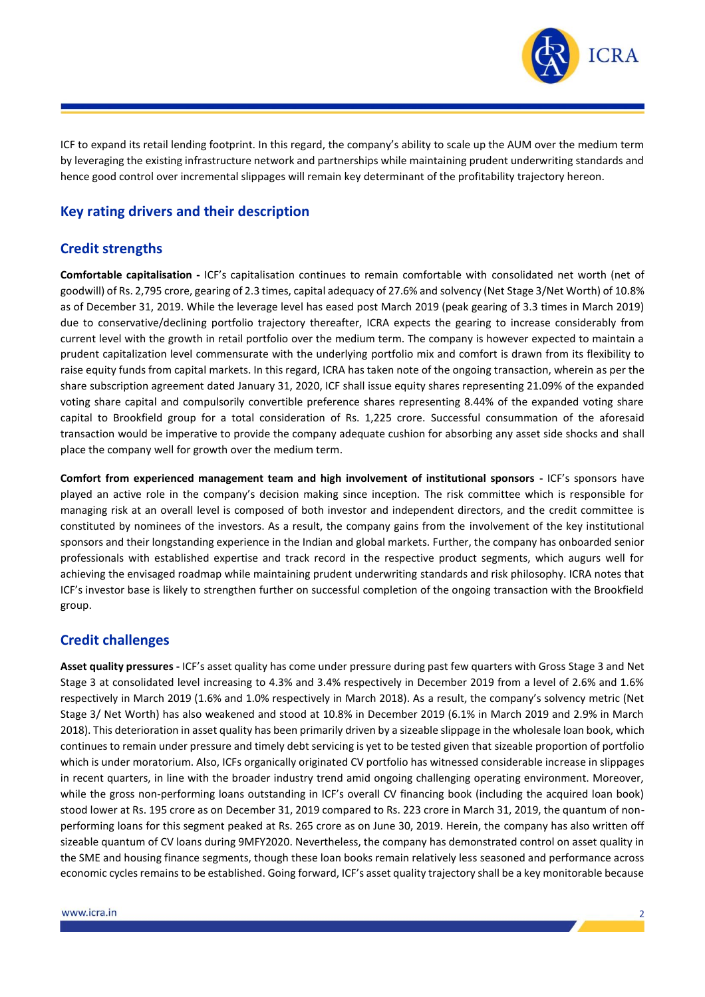

ICF to expand its retail lending footprint. In this regard, the company's ability to scale up the AUM over the medium term by leveraging the existing infrastructure network and partnerships while maintaining prudent underwriting standards and hence good control over incremental slippages will remain key determinant of the profitability trajectory hereon.

# **Key rating drivers and their description**

## **Credit strengths**

**Comfortable capitalisation -** ICF's capitalisation continues to remain comfortable with consolidated net worth (net of goodwill) of Rs. 2,795 crore, gearing of 2.3 times, capital adequacy of 27.6% and solvency (Net Stage 3/Net Worth) of 10.8% as of December 31, 2019. While the leverage level has eased post March 2019 (peak gearing of 3.3 times in March 2019) due to conservative/declining portfolio trajectory thereafter, ICRA expects the gearing to increase considerably from current level with the growth in retail portfolio over the medium term. The company is however expected to maintain a prudent capitalization level commensurate with the underlying portfolio mix and comfort is drawn from its flexibility to raise equity funds from capital markets. In this regard, ICRA has taken note of the ongoing transaction, wherein as per the share subscription agreement dated January 31, 2020, ICF shall issue equity shares representing 21.09% of the expanded voting share capital and compulsorily convertible preference shares representing 8.44% of the expanded voting share capital to Brookfield group for a total consideration of Rs. 1,225 crore. Successful consummation of the aforesaid transaction would be imperative to provide the company adequate cushion for absorbing any asset side shocks and shall place the company well for growth over the medium term.

**Comfort from experienced management team and high involvement of institutional sponsors -** ICF's sponsors have played an active role in the company's decision making since inception. The risk committee which is responsible for managing risk at an overall level is composed of both investor and independent directors, and the credit committee is constituted by nominees of the investors. As a result, the company gains from the involvement of the key institutional sponsors and their longstanding experience in the Indian and global markets. Further, the company has onboarded senior professionals with established expertise and track record in the respective product segments, which augurs well for achieving the envisaged roadmap while maintaining prudent underwriting standards and risk philosophy. ICRA notes that ICF's investor base is likely to strengthen further on successful completion of the ongoing transaction with the Brookfield group.

### **Credit challenges**

**Asset quality pressures -** ICF's asset quality has come under pressure during past few quarters with Gross Stage 3 and Net Stage 3 at consolidated level increasing to 4.3% and 3.4% respectively in December 2019 from a level of 2.6% and 1.6% respectively in March 2019 (1.6% and 1.0% respectively in March 2018). As a result, the company's solvency metric (Net Stage 3/ Net Worth) has also weakened and stood at 10.8% in December 2019 (6.1% in March 2019 and 2.9% in March 2018). This deterioration in asset quality has been primarily driven by a sizeable slippage in the wholesale loan book, which continues to remain under pressure and timely debt servicing is yet to be tested given that sizeable proportion of portfolio which is under moratorium. Also, ICFs organically originated CV portfolio has witnessed considerable increase in slippages in recent quarters, in line with the broader industry trend amid ongoing challenging operating environment. Moreover, while the gross non-performing loans outstanding in ICF's overall CV financing book (including the acquired loan book) stood lower at Rs. 195 crore as on December 31, 2019 compared to Rs. 223 crore in March 31, 2019, the quantum of nonperforming loans for this segment peaked at Rs. 265 crore as on June 30, 2019. Herein, the company has also written off sizeable quantum of CV loans during 9MFY2020. Nevertheless, the company has demonstrated control on asset quality in the SME and housing finance segments, though these loan books remain relatively less seasoned and performance across economic cycles remains to be established. Going forward, ICF's asset quality trajectory shall be a key monitorable because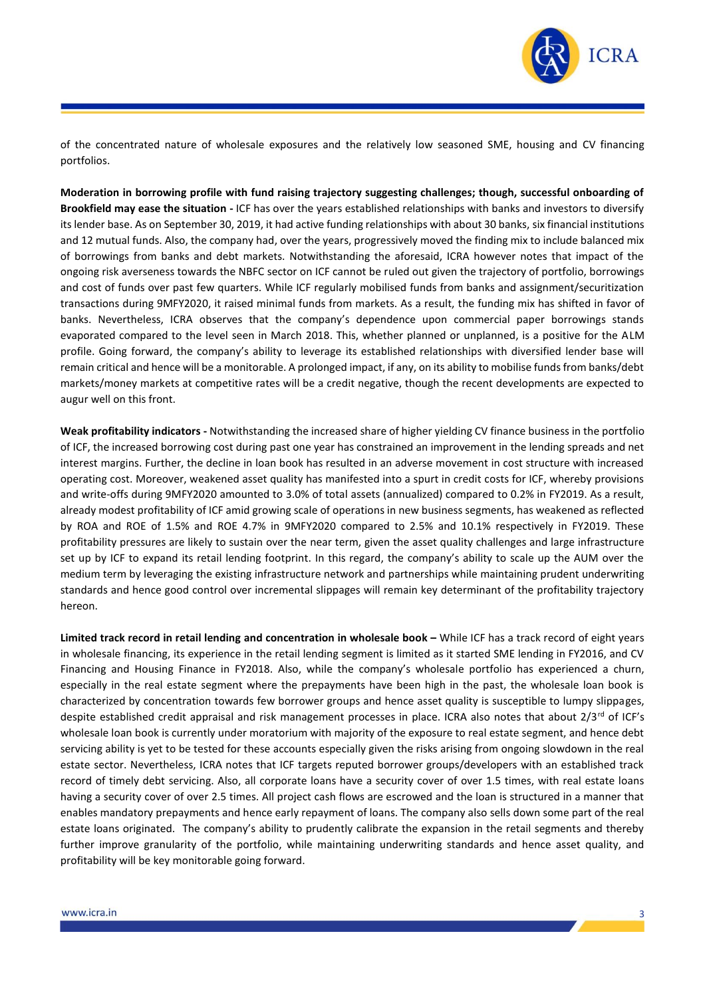

of the concentrated nature of wholesale exposures and the relatively low seasoned SME, housing and CV financing portfolios.

**Moderation in borrowing profile with fund raising trajectory suggesting challenges; though, successful onboarding of Brookfield may ease the situation -** ICF has over the years established relationships with banks and investors to diversify its lender base. As on September 30, 2019, it had active funding relationships with about 30 banks, six financial institutions and 12 mutual funds. Also, the company had, over the years, progressively moved the finding mix to include balanced mix of borrowings from banks and debt markets. Notwithstanding the aforesaid, ICRA however notes that impact of the ongoing risk averseness towards the NBFC sector on ICF cannot be ruled out given the trajectory of portfolio, borrowings and cost of funds over past few quarters. While ICF regularly mobilised funds from banks and assignment/securitization transactions during 9MFY2020, it raised minimal funds from markets. As a result, the funding mix has shifted in favor of banks. Nevertheless, ICRA observes that the company's dependence upon commercial paper borrowings stands evaporated compared to the level seen in March 2018. This, whether planned or unplanned, is a positive for the ALM profile. Going forward, the company's ability to leverage its established relationships with diversified lender base will remain critical and hence will be a monitorable. A prolonged impact, if any, on its ability to mobilise funds from banks/debt markets/money markets at competitive rates will be a credit negative, though the recent developments are expected to augur well on this front.

**Weak profitability indicators -** Notwithstanding the increased share of higher yielding CV finance business in the portfolio of ICF, the increased borrowing cost during past one year has constrained an improvement in the lending spreads and net interest margins. Further, the decline in loan book has resulted in an adverse movement in cost structure with increased operating cost. Moreover, weakened asset quality has manifested into a spurt in credit costs for ICF, whereby provisions and write-offs during 9MFY2020 amounted to 3.0% of total assets (annualized) compared to 0.2% in FY2019. As a result, already modest profitability of ICF amid growing scale of operations in new business segments, has weakened as reflected by ROA and ROE of 1.5% and ROE 4.7% in 9MFY2020 compared to 2.5% and 10.1% respectively in FY2019. These profitability pressures are likely to sustain over the near term, given the asset quality challenges and large infrastructure set up by ICF to expand its retail lending footprint. In this regard, the company's ability to scale up the AUM over the medium term by leveraging the existing infrastructure network and partnerships while maintaining prudent underwriting standards and hence good control over incremental slippages will remain key determinant of the profitability trajectory hereon.

**Limited track record in retail lending and concentration in wholesale book –** While ICF has a track record of eight years in wholesale financing, its experience in the retail lending segment is limited as it started SME lending in FY2016, and CV Financing and Housing Finance in FY2018. Also, while the company's wholesale portfolio has experienced a churn, especially in the real estate segment where the prepayments have been high in the past, the wholesale loan book is characterized by concentration towards few borrower groups and hence asset quality is susceptible to lumpy slippages, despite established credit appraisal and risk management processes in place. ICRA also notes that about 2/3<sup>rd</sup> of ICF's wholesale loan book is currently under moratorium with majority of the exposure to real estate segment, and hence debt servicing ability is yet to be tested for these accounts especially given the risks arising from ongoing slowdown in the real estate sector. Nevertheless, ICRA notes that ICF targets reputed borrower groups/developers with an established track record of timely debt servicing. Also, all corporate loans have a security cover of over 1.5 times, with real estate loans having a security cover of over 2.5 times. All project cash flows are escrowed and the loan is structured in a manner that enables mandatory prepayments and hence early repayment of loans. The company also sells down some part of the real estate loans originated. The company's ability to prudently calibrate the expansion in the retail segments and thereby further improve granularity of the portfolio, while maintaining underwriting standards and hence asset quality, and profitability will be key monitorable going forward.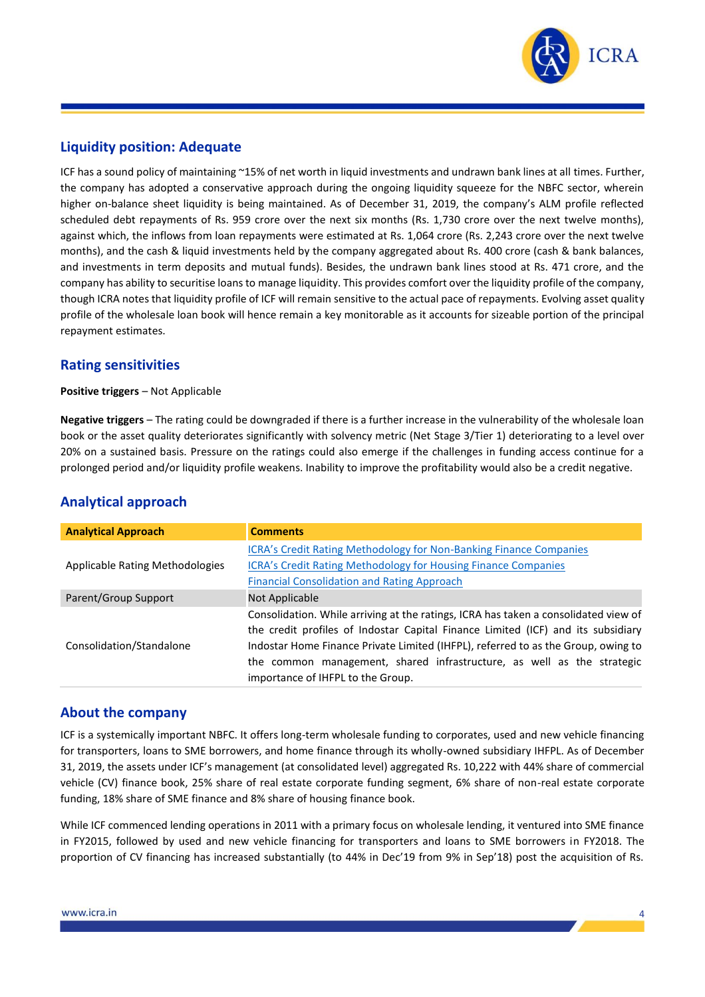

## **Liquidity position: Adequate**

ICF has a sound policy of maintaining ~15% of net worth in liquid investments and undrawn bank lines at all times. Further, the company has adopted a conservative approach during the ongoing liquidity squeeze for the NBFC sector, wherein higher on-balance sheet liquidity is being maintained. As of December 31, 2019, the company's ALM profile reflected scheduled debt repayments of Rs. 959 crore over the next six months (Rs. 1,730 crore over the next twelve months), against which, the inflows from loan repayments were estimated at Rs. 1,064 crore (Rs. 2,243 crore over the next twelve months), and the cash & liquid investments held by the company aggregated about Rs. 400 crore (cash & bank balances, and investments in term deposits and mutual funds). Besides, the undrawn bank lines stood at Rs. 471 crore, and the company has ability to securitise loans to manage liquidity. This provides comfort over the liquidity profile of the company, though ICRA notes that liquidity profile of ICF will remain sensitive to the actual pace of repayments. Evolving asset quality profile of the wholesale loan book will hence remain a key monitorable as it accounts for sizeable portion of the principal repayment estimates.

### **Rating sensitivities**

**Positive triggers** – Not Applicable

**Negative triggers** – The rating could be downgraded if there is a further increase in the vulnerability of the wholesale loan book or the asset quality deteriorates significantly with solvency metric (Net Stage 3/Tier 1) deteriorating to a level over 20% on a sustained basis. Pressure on the ratings could also emerge if the challenges in funding access continue for a prolonged period and/or liquidity profile weakens. Inability to improve the profitability would also be a credit negative.

| <b>Analytical Approach</b>      | <b>Comments</b>                                                                                                                                                                                                                                                                                                                                                             |  |  |  |
|---------------------------------|-----------------------------------------------------------------------------------------------------------------------------------------------------------------------------------------------------------------------------------------------------------------------------------------------------------------------------------------------------------------------------|--|--|--|
| Applicable Rating Methodologies | ICRA's Credit Rating Methodology for Non-Banking Finance Companies<br><b>ICRA's Credit Rating Methodology for Housing Finance Companies</b><br><b>Financial Consolidation and Rating Approach</b>                                                                                                                                                                           |  |  |  |
| Parent/Group Support            | Not Applicable                                                                                                                                                                                                                                                                                                                                                              |  |  |  |
| Consolidation/Standalone        | Consolidation. While arriving at the ratings, ICRA has taken a consolidated view of<br>the credit profiles of Indostar Capital Finance Limited (ICF) and its subsidiary<br>Indostar Home Finance Private Limited (IHFPL), referred to as the Group, owing to<br>the common management, shared infrastructure, as well as the strategic<br>importance of IHFPL to the Group. |  |  |  |

# **Analytical approach**

### **About the company**

ICF is a systemically important NBFC. It offers long-term wholesale funding to corporates, used and new vehicle financing for transporters, loans to SME borrowers, and home finance through its wholly-owned subsidiary IHFPL. As of December 31, 2019, the assets under ICF's management (at consolidated level) aggregated Rs. 10,222 with 44% share of commercial vehicle (CV) finance book, 25% share of real estate corporate funding segment, 6% share of non-real estate corporate funding, 18% share of SME finance and 8% share of housing finance book.

While ICF commenced lending operations in 2011 with a primary focus on wholesale lending, it ventured into SME finance in FY2015, followed by used and new vehicle financing for transporters and loans to SME borrowers in FY2018. The proportion of CV financing has increased substantially (to 44% in Dec'19 from 9% in Sep'18) post the acquisition of Rs.

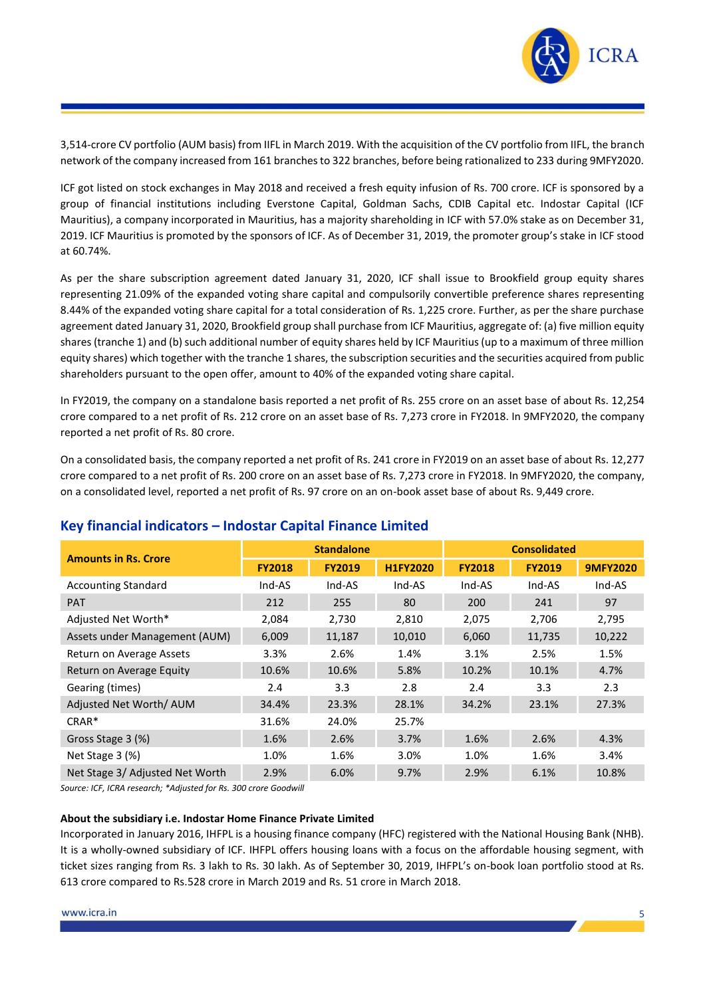

3,514-crore CV portfolio (AUM basis) from IIFL in March 2019. With the acquisition of the CV portfolio from IIFL, the branch network of the company increased from 161 branches to 322 branches, before being rationalized to 233 during 9MFY2020.

ICF got listed on stock exchanges in May 2018 and received a fresh equity infusion of Rs. 700 crore. ICF is sponsored by a group of financial institutions including Everstone Capital, Goldman Sachs, CDIB Capital etc. Indostar Capital (ICF Mauritius), a company incorporated in Mauritius, has a majority shareholding in ICF with 57.0% stake as on December 31, 2019. ICF Mauritius is promoted by the sponsors of ICF. As of December 31, 2019, the promoter group's stake in ICF stood at 60.74%.

As per the share subscription agreement dated January 31, 2020, ICF shall issue to Brookfield group equity shares representing 21.09% of the expanded voting share capital and compulsorily convertible preference shares representing 8.44% of the expanded voting share capital for a total consideration of Rs. 1,225 crore. Further, as per the share purchase agreement dated January 31, 2020, Brookfield group shall purchase from ICF Mauritius, aggregate of: (a) five million equity shares (tranche 1) and (b) such additional number of equity shares held by ICF Mauritius (up to a maximum of three million equity shares) which together with the tranche 1 shares, the subscription securities and the securities acquired from public shareholders pursuant to the open offer, amount to 40% of the expanded voting share capital.

In FY2019, the company on a standalone basis reported a net profit of Rs. 255 crore on an asset base of about Rs. 12,254 crore compared to a net profit of Rs. 212 crore on an asset base of Rs. 7,273 crore in FY2018. In 9MFY2020, the company reported a net profit of Rs. 80 crore.

On a consolidated basis, the company reported a net profit of Rs. 241 crore in FY2019 on an asset base of about Rs. 12,277 crore compared to a net profit of Rs. 200 crore on an asset base of Rs. 7,273 crore in FY2018. In 9MFY2020, the company, on a consolidated level, reported a net profit of Rs. 97 crore on an on-book asset base of about Rs. 9,449 crore.

| <b>Amounts in Rs. Crore</b>     |               | <b>Standalone</b> |                 | <b>Consolidated</b> |               |                 |
|---------------------------------|---------------|-------------------|-----------------|---------------------|---------------|-----------------|
|                                 | <b>FY2018</b> | <b>FY2019</b>     | <b>H1FY2020</b> | <b>FY2018</b>       | <b>FY2019</b> | <b>9MFY2020</b> |
| <b>Accounting Standard</b>      | Ind-AS        | Ind-AS            | Ind-AS          | Ind-AS              | Ind-AS        | Ind-AS          |
| <b>PAT</b>                      | 212           | 255               | 80              | 200                 | 241           | 97              |
| Adjusted Net Worth*             | 2,084         | 2,730             | 2,810           | 2,075               | 2,706         | 2,795           |
| Assets under Management (AUM)   | 6,009         | 11,187            | 10,010          | 6,060               | 11,735        | 10,222          |
| Return on Average Assets        | 3.3%          | 2.6%              | 1.4%            | 3.1%                | 2.5%          | 1.5%            |
| Return on Average Equity        | 10.6%         | 10.6%             | 5.8%            | 10.2%               | 10.1%         | 4.7%            |
| Gearing (times)                 | 2.4           | 3.3               | 2.8             | 2.4                 | 3.3           | 2.3             |
| Adjusted Net Worth/AUM          | 34.4%         | 23.3%             | 28.1%           | 34.2%               | 23.1%         | 27.3%           |
| $CRAR*$                         | 31.6%         | 24.0%             | 25.7%           |                     |               |                 |
| Gross Stage 3 (%)               | 1.6%          | 2.6%              | 3.7%            | 1.6%                | 2.6%          | 4.3%            |
| Net Stage 3 (%)                 | 1.0%          | 1.6%              | 3.0%            | 1.0%                | 1.6%          | 3.4%            |
| Net Stage 3/ Adjusted Net Worth | 2.9%          | 6.0%              | 9.7%            | 2.9%                | 6.1%          | 10.8%           |

# **Key financial indicators – Indostar Capital Finance Limited**

*Source: ICF, ICRA research; \*Adjusted for Rs. 300 crore Goodwill*

#### **About the subsidiary i.e. Indostar Home Finance Private Limited**

Incorporated in January 2016, IHFPL is a housing finance company (HFC) registered with the National Housing Bank (NHB). It is a wholly-owned subsidiary of ICF. IHFPL offers housing loans with a focus on the affordable housing segment, with ticket sizes ranging from Rs. 3 lakh to Rs. 30 lakh. As of September 30, 2019, IHFPL's on-book loan portfolio stood at Rs. 613 crore compared to Rs.528 crore in March 2019 and Rs. 51 crore in March 2018.

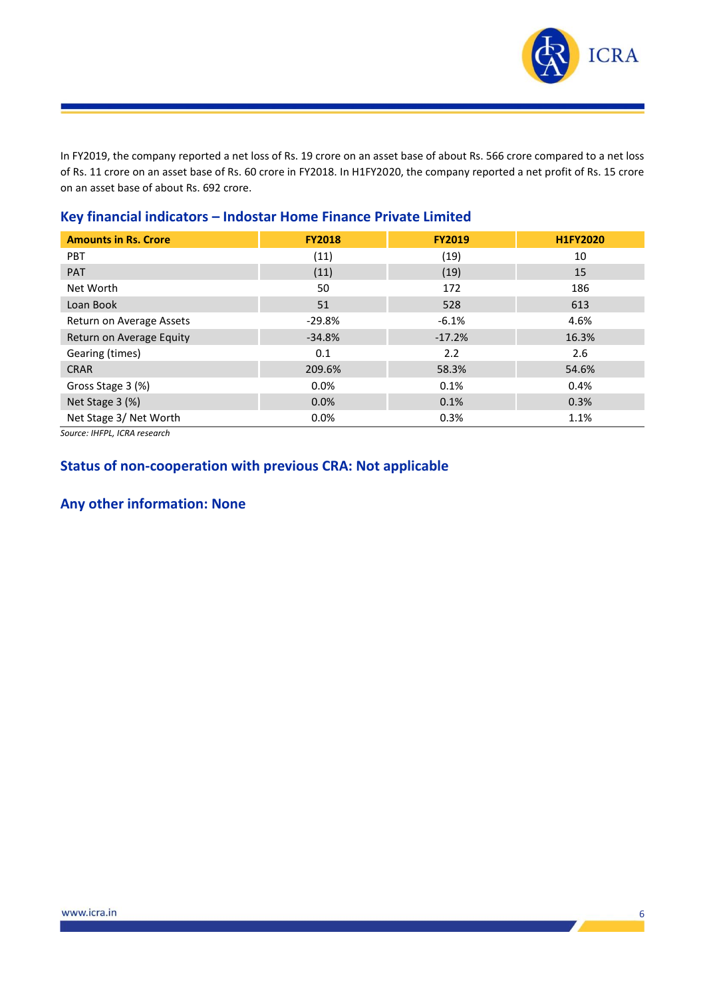

In FY2019, the company reported a net loss of Rs. 19 crore on an asset base of about Rs. 566 crore compared to a net loss of Rs. 11 crore on an asset base of Rs. 60 crore in FY2018. In H1FY2020, the company reported a net profit of Rs. 15 crore on an asset base of about Rs. 692 crore.

| <b>Amounts in Rs. Crore</b> | <b>FY2018</b> | <b>FY2019</b> | <b>H1FY2020</b> |
|-----------------------------|---------------|---------------|-----------------|
| <b>PBT</b>                  | (11)          | (19)          | 10              |
| <b>PAT</b>                  | (11)          | (19)          | 15              |
| Net Worth                   | 50            | 172           | 186             |
| Loan Book                   | 51            | 528           | 613             |
| Return on Average Assets    | $-29.8%$      | $-6.1%$       | 4.6%            |
| Return on Average Equity    | $-34.8%$      | $-17.2%$      | 16.3%           |
| Gearing (times)             | 0.1           | 2.2           | 2.6             |
| <b>CRAR</b>                 | 209.6%        | 58.3%         | 54.6%           |
| Gross Stage 3 (%)           | $0.0\%$       | 0.1%          | 0.4%            |
| Net Stage 3 (%)             | 0.0%          | 0.1%          | 0.3%            |
| Net Stage 3/ Net Worth      | 0.0%          | 0.3%          | 1.1%            |

# **Key financial indicators – Indostar Home Finance Private Limited**

*Source: IHFPL, ICRA research*

# **Status of non-cooperation with previous CRA: Not applicable**

# **Any other information: None**

 $\mathbf{z}$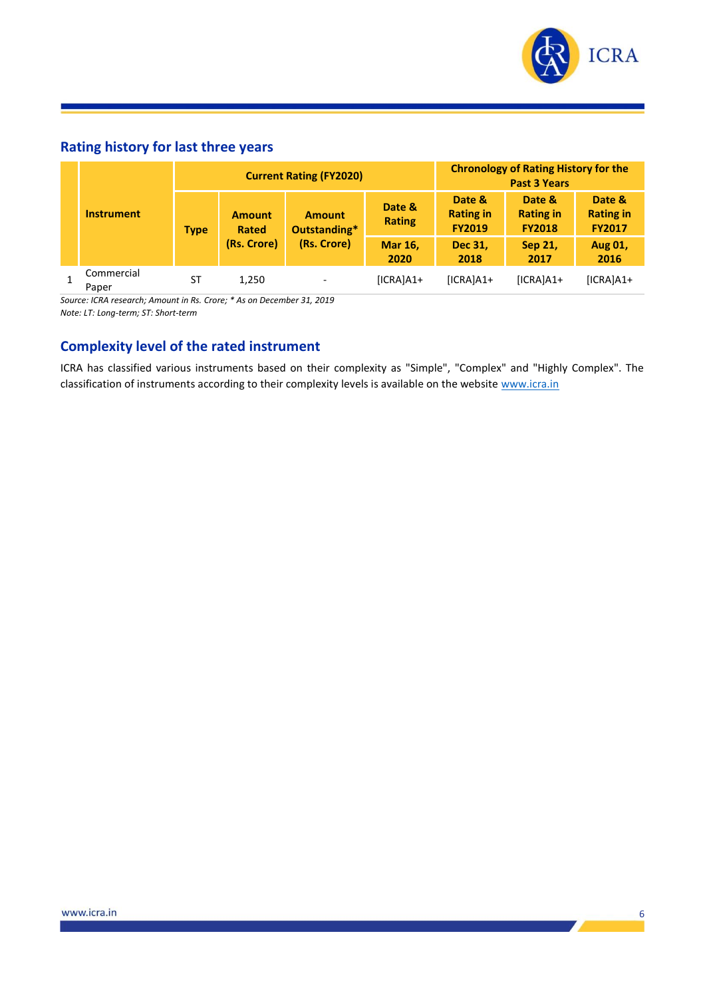

6

 $\boldsymbol{r}$ 

# **Rating history for last three years**

|                                              | <b>Current Rating (FY2020)</b> |                               |                               |                         | <b>Chronology of Rating History for the</b><br><b>Past 3 Years</b> |                                             |                                             |
|----------------------------------------------|--------------------------------|-------------------------------|-------------------------------|-------------------------|--------------------------------------------------------------------|---------------------------------------------|---------------------------------------------|
| <b>Instrument</b>                            | <b>Type</b>                    | <b>Amount</b><br><b>Rated</b> | <b>Amount</b><br>Outstanding* | Date &<br><b>Rating</b> | Date &<br><b>Rating in</b><br><b>FY2019</b>                        | Date &<br><b>Rating in</b><br><b>FY2018</b> | Date &<br><b>Rating in</b><br><b>FY2017</b> |
|                                              | (Rs. Crore)                    | (Rs. Crore)                   | <b>Mar 16,</b><br>2020        | Dec 31,<br>2018         | Sep 21,<br>2017                                                    | Aug 01,<br>2016                             |                                             |
| Commercial<br>Paper                          | ST                             | 1,250                         |                               | $[ICRA]A1+$             | $[ICRA]A1+$                                                        | $[ICRA]A1+$                                 | $[ICRA]A1+$                                 |
| مدمومان المستحدث المستحدث والمحافرة والمتحدث |                                |                               |                               |                         |                                                                    |                                             |                                             |

*Source: ICRA research; Amount in Rs. Crore; \* As on December 31, 2019 Note: LT: Long-term; ST: Short-term*

# **Complexity level of the rated instrument**

ICRA has classified various instruments based on their complexity as "Simple", "Complex" and "Highly Complex". The classification of instruments according to their complexity levels is available on the website [www.icra.in](http://www.icra.in/)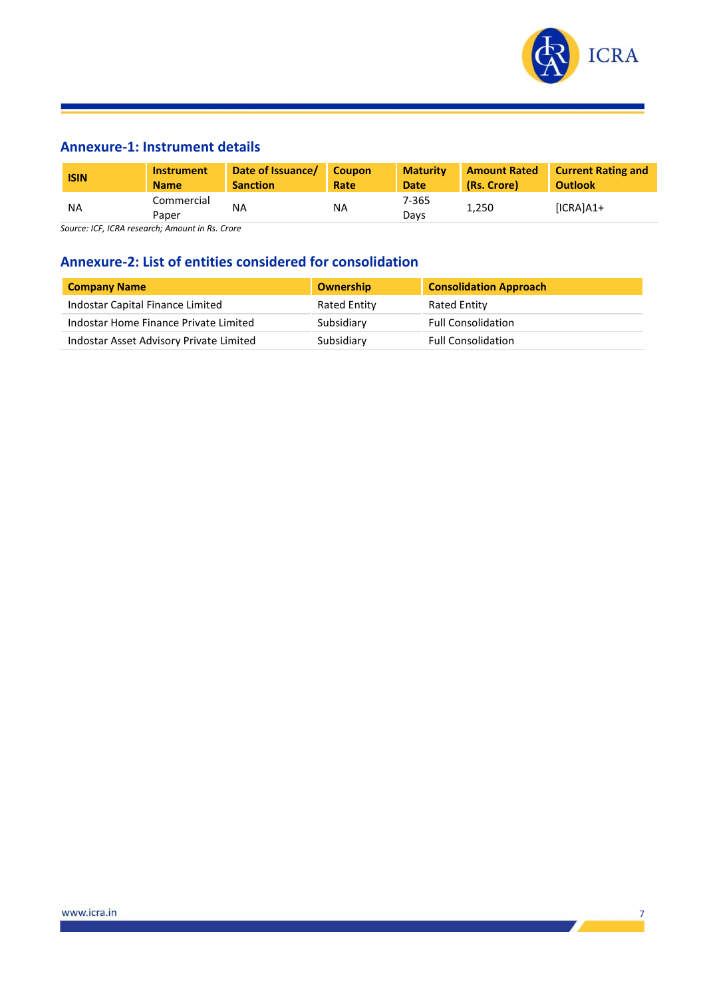

# **Annexure-1: Instrument details**

| <b>ISIN</b> | <b>Instrument</b>   | Date of Issuance/ | <b>Coupon</b> | <b>Maturity</b> | <b>Amount Rated</b> | <b>Current Rating and</b> |
|-------------|---------------------|-------------------|---------------|-----------------|---------------------|---------------------------|
|             | <b>Name</b>         | <b>Sanction</b>   | Rate          | Date            | (Rs. Crore)         | <b>Outlook</b>            |
| <b>NA</b>   | Commercial<br>Paper | NA                | ΝA            | 7-365<br>Davs   | 1,250               | $[ICRA]A1+$               |

*Source: ICF, ICRA research; Amount in Rs. Crore*

# **Annexure-2: List of entities considered for consolidation**

| <b>Company Name</b>                     | Ownership    | <b>Consolidation Approach</b> |
|-----------------------------------------|--------------|-------------------------------|
| Indostar Capital Finance Limited        | Rated Entity | Rated Entity                  |
| Indostar Home Finance Private Limited   | Subsidiary   | <b>Full Consolidation</b>     |
| Indostar Asset Advisory Private Limited | Subsidiary   | <b>Full Consolidation</b>     |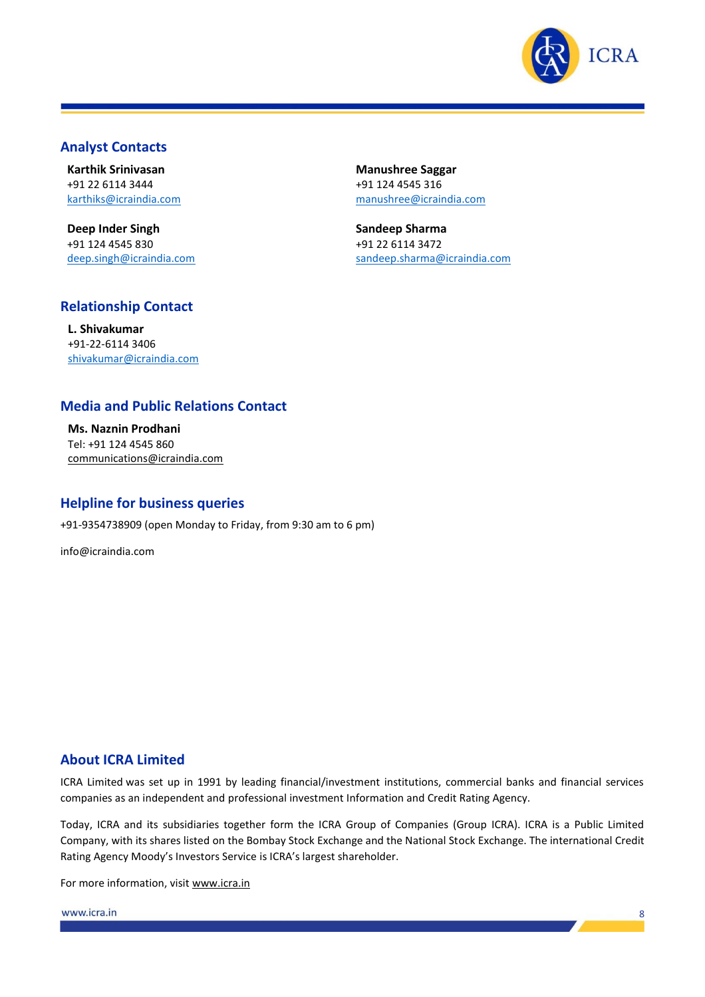

### **Analyst Contacts**

**Karthik Srinivasan** +91 22 6114 3444 [karthiks@icraindia.com](mailto:karthiks@icraindia.com)

**Deep Inder Singh** +91 124 4545 830 deep.singh@icraindia.com **Manushree Saggar** +91 124 4545 316 [manushree@icraindia.com](mailto:manushree@icraindia.com)

**Sandeep Sharma** +91 22 6114 3472 sandeep.sharma@icraindia.com

# **Relationship Contact**

**L. Shivakumar** +91-22-6114 3406 [shivakumar@icraindia.com](mailto:shivakumar@icraindia.com)

### **Media and Public Relations Contact**

**Ms. Naznin Prodhani** Tel: +91 124 4545 860 communications@icraindia.com

### **Helpline for business queries**

+91-9354738909 (open Monday to Friday, from 9:30 am to 6 pm)

info@icraindia.com

### **About ICRA Limited**

ICRA Limited was set up in 1991 by leading financial/investment institutions, commercial banks and financial services companies as an independent and professional investment Information and Credit Rating Agency.

Today, ICRA and its subsidiaries together form the ICRA Group of Companies (Group ICRA). ICRA is a Public Limited Company, with its shares listed on the Bombay Stock Exchange and the National Stock Exchange. The international Credit Rating Agency Moody's Investors Service is ICRA's largest shareholder.

For more information, visit [www.icra.in](http://www.icra.in/)

www.icra.in